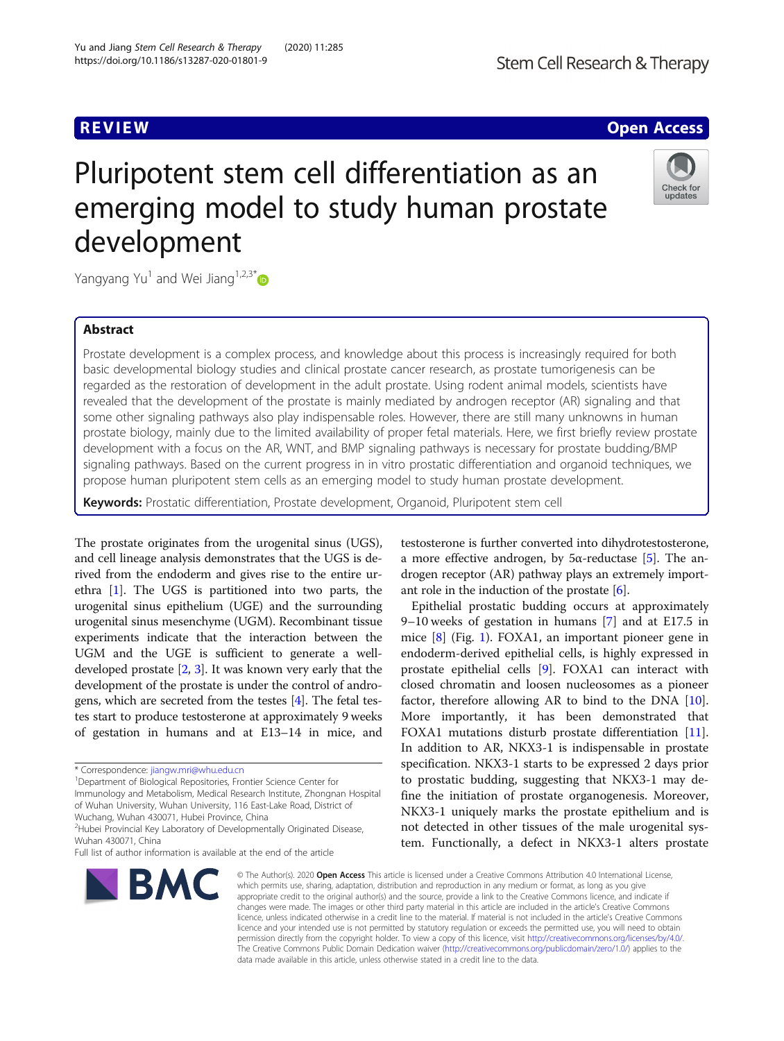## **REVIEW CONTROL** CONTROL CONTROL CONTROL CONTROL CONTROL CONTROL CONTROL CONTROL CONTROL CONTROL CONTROL CONTROL

# Pluripotent stem cell differentiation as an emerging model to study human prostate development



Yangyang Yu<sup>1</sup> and Wei Jiang<sup>1,2,3[\\*](http://orcid.org/0000-0002-6463-7356)</sup>

## Abstract

Prostate development is a complex process, and knowledge about this process is increasingly required for both basic developmental biology studies and clinical prostate cancer research, as prostate tumorigenesis can be regarded as the restoration of development in the adult prostate. Using rodent animal models, scientists have revealed that the development of the prostate is mainly mediated by androgen receptor (AR) signaling and that some other signaling pathways also play indispensable roles. However, there are still many unknowns in human prostate biology, mainly due to the limited availability of proper fetal materials. Here, we first briefly review prostate development with a focus on the AR, WNT, and BMP signaling pathways is necessary for prostate budding/BMP signaling pathways. Based on the current progress in in vitro prostatic differentiation and organoid techniques, we propose human pluripotent stem cells as an emerging model to study human prostate development.

Keywords: Prostatic differentiation, Prostate development, Organoid, Pluripotent stem cell

The prostate originates from the urogenital sinus (UGS), and cell lineage analysis demonstrates that the UGS is derived from the endoderm and gives rise to the entire urethra [[1\]](#page-5-0). The UGS is partitioned into two parts, the urogenital sinus epithelium (UGE) and the surrounding urogenital sinus mesenchyme (UGM). Recombinant tissue experiments indicate that the interaction between the UGM and the UGE is sufficient to generate a welldeveloped prostate [\[2,](#page-5-0) [3\]](#page-5-0). It was known very early that the development of the prostate is under the control of androgens, which are secreted from the testes [\[4\]](#page-5-0). The fetal testes start to produce testosterone at approximately 9 weeks of gestation in humans and at E13–14 in mice, and

Wuchang, Wuhan 430071, Hubei Province, China

Full list of author information is available at the end of the article



testosterone is further converted into dihydrotestosterone, a more effective androgen, by  $5α$ -reductase [\[5](#page-5-0)]. The androgen receptor (AR) pathway plays an extremely important role in the induction of the prostate  $[6]$  $[6]$ .

Epithelial prostatic budding occurs at approximately 9–10 weeks of gestation in humans [[7\]](#page-5-0) and at E17.5 in mice [\[8](#page-5-0)] (Fig. [1](#page-1-0)). FOXA1, an important pioneer gene in endoderm-derived epithelial cells, is highly expressed in prostate epithelial cells [[9\]](#page-5-0). FOXA1 can interact with closed chromatin and loosen nucleosomes as a pioneer factor, therefore allowing AR to bind to the DNA [\[10](#page-5-0)]. More importantly, it has been demonstrated that FOXA1 mutations disturb prostate differentiation [\[11](#page-5-0)]. In addition to AR, NKX3-1 is indispensable in prostate specification. NKX3-1 starts to be expressed 2 days prior to prostatic budding, suggesting that NKX3-1 may define the initiation of prostate organogenesis. Moreover, NKX3-1 uniquely marks the prostate epithelium and is not detected in other tissues of the male urogenital system. Functionally, a defect in NKX3-1 alters prostate

© The Author(s), 2020 **Open Access** This article is licensed under a Creative Commons Attribution 4.0 International License, which permits use, sharing, adaptation, distribution and reproduction in any medium or format, as long as you give appropriate credit to the original author(s) and the source, provide a link to the Creative Commons licence, and indicate if changes were made. The images or other third party material in this article are included in the article's Creative Commons licence, unless indicated otherwise in a credit line to the material. If material is not included in the article's Creative Commons licence and your intended use is not permitted by statutory regulation or exceeds the permitted use, you will need to obtain permission directly from the copyright holder. To view a copy of this licence, visit [http://creativecommons.org/licenses/by/4.0/.](http://creativecommons.org/licenses/by/4.0/) The Creative Commons Public Domain Dedication waiver [\(http://creativecommons.org/publicdomain/zero/1.0/](http://creativecommons.org/publicdomain/zero/1.0/)) applies to the data made available in this article, unless otherwise stated in a credit line to the data.

<sup>\*</sup> Correspondence: [jiangw.mri@whu.edu.cn](mailto:jiangw.mri@whu.edu.cn) <sup>1</sup>

Department of Biological Repositories, Frontier Science Center for Immunology and Metabolism, Medical Research Institute, Zhongnan Hospital of Wuhan University, Wuhan University, 116 East-Lake Road, District of

<sup>2</sup> Hubei Provincial Key Laboratory of Developmentally Originated Disease, Wuhan 430071, China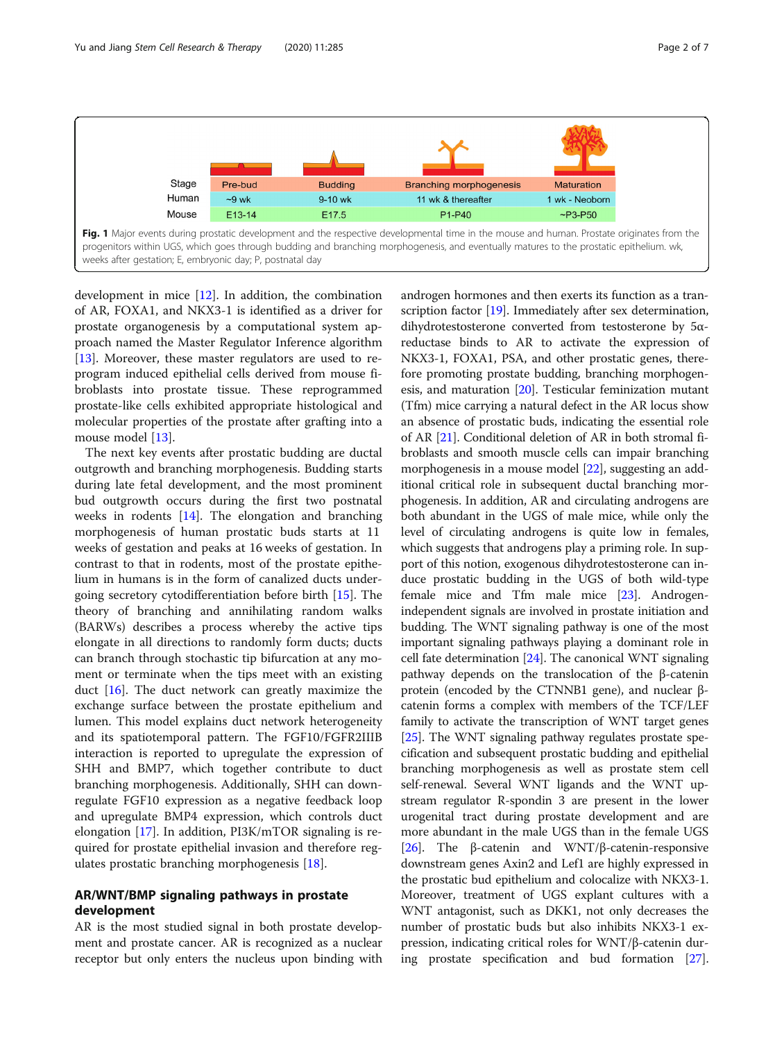<span id="page-1-0"></span>

weeks after gestation; E, embryonic day; P, postnatal day

development in mice [\[12](#page-5-0)]. In addition, the combination of AR, FOXA1, and NKX3-1 is identified as a driver for prostate organogenesis by a computational system approach named the Master Regulator Inference algorithm [[13\]](#page-5-0). Moreover, these master regulators are used to reprogram induced epithelial cells derived from mouse fibroblasts into prostate tissue. These reprogrammed prostate-like cells exhibited appropriate histological and molecular properties of the prostate after grafting into a mouse model [[13\]](#page-5-0).

The next key events after prostatic budding are ductal outgrowth and branching morphogenesis. Budding starts during late fetal development, and the most prominent bud outgrowth occurs during the first two postnatal weeks in rodents [[14\]](#page-5-0). The elongation and branching morphogenesis of human prostatic buds starts at 11 weeks of gestation and peaks at 16 weeks of gestation. In contrast to that in rodents, most of the prostate epithelium in humans is in the form of canalized ducts undergoing secretory cytodifferentiation before birth [[15\]](#page-5-0). The theory of branching and annihilating random walks (BARWs) describes a process whereby the active tips elongate in all directions to randomly form ducts; ducts can branch through stochastic tip bifurcation at any moment or terminate when the tips meet with an existing duct [\[16](#page-5-0)]. The duct network can greatly maximize the exchange surface between the prostate epithelium and lumen. This model explains duct network heterogeneity and its spatiotemporal pattern. The FGF10/FGFR2IIIB interaction is reported to upregulate the expression of SHH and BMP7, which together contribute to duct branching morphogenesis. Additionally, SHH can downregulate FGF10 expression as a negative feedback loop and upregulate BMP4 expression, which controls duct elongation [[17\]](#page-5-0). In addition, PI3K/mTOR signaling is required for prostate epithelial invasion and therefore regulates prostatic branching morphogenesis [\[18](#page-5-0)].

## AR/WNT/BMP signaling pathways in prostate development

AR is the most studied signal in both prostate development and prostate cancer. AR is recognized as a nuclear receptor but only enters the nucleus upon binding with androgen hormones and then exerts its function as a tran-scription factor [\[19\]](#page-5-0). Immediately after sex determination, dihydrotestosterone converted from testosterone by 5αreductase binds to AR to activate the expression of NKX3-1, FOXA1, PSA, and other prostatic genes, therefore promoting prostate budding, branching morphogenesis, and maturation [\[20\]](#page-5-0). Testicular feminization mutant (Tfm) mice carrying a natural defect in the AR locus show an absence of prostatic buds, indicating the essential role of AR [\[21](#page-5-0)]. Conditional deletion of AR in both stromal fibroblasts and smooth muscle cells can impair branching morphogenesis in a mouse model [[22\]](#page-5-0), suggesting an additional critical role in subsequent ductal branching morphogenesis. In addition, AR and circulating androgens are both abundant in the UGS of male mice, while only the level of circulating androgens is quite low in females, which suggests that androgens play a priming role. In support of this notion, exogenous dihydrotestosterone can induce prostatic budding in the UGS of both wild-type female mice and Tfm male mice [\[23\]](#page-6-0). Androgenindependent signals are involved in prostate initiation and budding. The WNT signaling pathway is one of the most important signaling pathways playing a dominant role in cell fate determination [\[24\]](#page-6-0). The canonical WNT signaling pathway depends on the translocation of the β-catenin protein (encoded by the CTNNB1 gene), and nuclear βcatenin forms a complex with members of the TCF/LEF family to activate the transcription of WNT target genes [[25](#page-6-0)]. The WNT signaling pathway regulates prostate specification and subsequent prostatic budding and epithelial branching morphogenesis as well as prostate stem cell self-renewal. Several WNT ligands and the WNT upstream regulator R-spondin 3 are present in the lower urogenital tract during prostate development and are more abundant in the male UGS than in the female UGS [[26](#page-6-0)]. The β-catenin and WNT/β-catenin-responsive downstream genes Axin2 and Lef1 are highly expressed in the prostatic bud epithelium and colocalize with NKX3-1. Moreover, treatment of UGS explant cultures with a WNT antagonist, such as DKK1, not only decreases the number of prostatic buds but also inhibits NKX3-1 expression, indicating critical roles for WNT/β-catenin during prostate specification and bud formation [[27](#page-6-0)].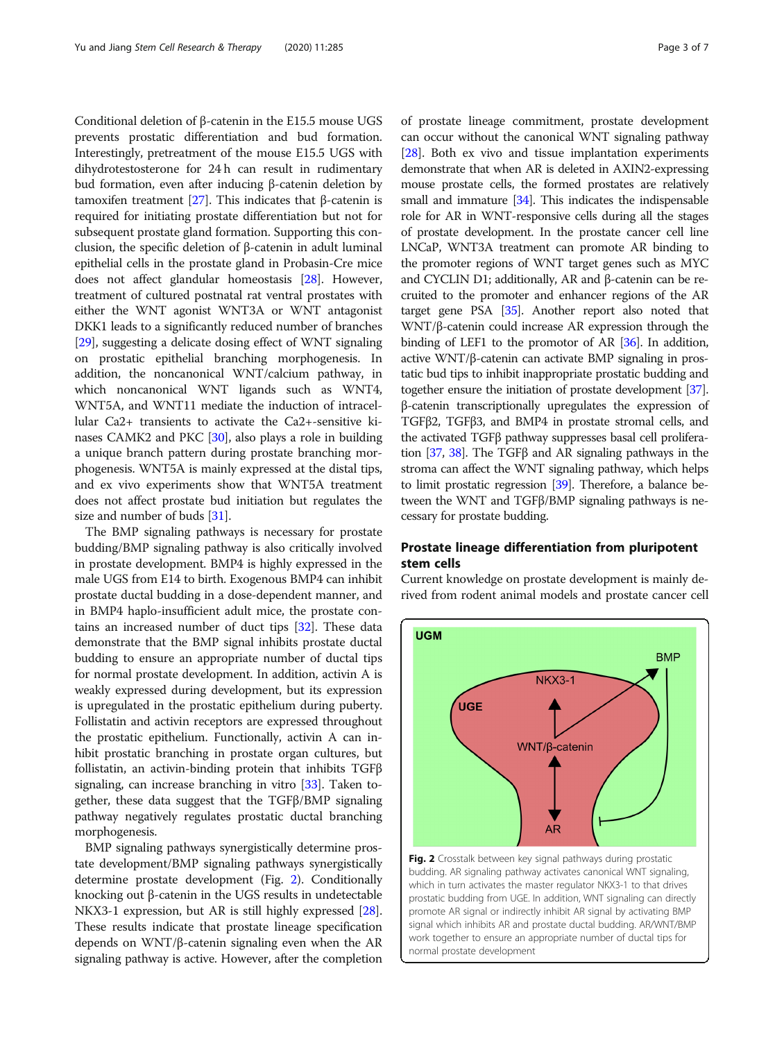Conditional deletion of β-catenin in the E15.5 mouse UGS prevents prostatic differentiation and bud formation. Interestingly, pretreatment of the mouse E15.5 UGS with dihydrotestosterone for 24 h can result in rudimentary bud formation, even after inducing β-catenin deletion by tamoxifen treatment [\[27\]](#page-6-0). This indicates that β-catenin is required for initiating prostate differentiation but not for subsequent prostate gland formation. Supporting this conclusion, the specific deletion of β-catenin in adult luminal epithelial cells in the prostate gland in Probasin-Cre mice does not affect glandular homeostasis [\[28\]](#page-6-0). However, treatment of cultured postnatal rat ventral prostates with either the WNT agonist WNT3A or WNT antagonist DKK1 leads to a significantly reduced number of branches [[29](#page-6-0)], suggesting a delicate dosing effect of WNT signaling on prostatic epithelial branching morphogenesis. In addition, the noncanonical WNT/calcium pathway, in which noncanonical WNT ligands such as WNT4, WNT5A, and WNT11 mediate the induction of intracellular Ca2+ transients to activate the Ca2+-sensitive kinases CAMK2 and PKC [[30](#page-6-0)], also plays a role in building a unique branch pattern during prostate branching morphogenesis. WNT5A is mainly expressed at the distal tips, and ex vivo experiments show that WNT5A treatment does not affect prostate bud initiation but regulates the size and number of buds [[31\]](#page-6-0).

The BMP signaling pathways is necessary for prostate budding/BMP signaling pathway is also critically involved in prostate development. BMP4 is highly expressed in the male UGS from E14 to birth. Exogenous BMP4 can inhibit prostate ductal budding in a dose-dependent manner, and in BMP4 haplo-insufficient adult mice, the prostate contains an increased number of duct tips [\[32](#page-6-0)]. These data demonstrate that the BMP signal inhibits prostate ductal budding to ensure an appropriate number of ductal tips for normal prostate development. In addition, activin A is weakly expressed during development, but its expression is upregulated in the prostatic epithelium during puberty. Follistatin and activin receptors are expressed throughout the prostatic epithelium. Functionally, activin A can inhibit prostatic branching in prostate organ cultures, but follistatin, an activin-binding protein that inhibits TGFβ signaling, can increase branching in vitro [[33](#page-6-0)]. Taken together, these data suggest that the TGFβ/BMP signaling pathway negatively regulates prostatic ductal branching morphogenesis.

BMP signaling pathways synergistically determine prostate development/BMP signaling pathways synergistically determine prostate development (Fig. 2). Conditionally knocking out β-catenin in the UGS results in undetectable NKX3-1 expression, but AR is still highly expressed [[28](#page-6-0)]. These results indicate that prostate lineage specification depends on WNT/β-catenin signaling even when the AR signaling pathway is active. However, after the completion of prostate lineage commitment, prostate development can occur without the canonical WNT signaling pathway [[28](#page-6-0)]. Both ex vivo and tissue implantation experiments demonstrate that when AR is deleted in AXIN2-expressing mouse prostate cells, the formed prostates are relatively small and immature  $[34]$ . This indicates the indispensable role for AR in WNT-responsive cells during all the stages of prostate development. In the prostate cancer cell line LNCaP, WNT3A treatment can promote AR binding to the promoter regions of WNT target genes such as MYC and CYCLIN D1; additionally, AR and β-catenin can be recruited to the promoter and enhancer regions of the AR target gene PSA [[35](#page-6-0)]. Another report also noted that WNT/β-catenin could increase AR expression through the binding of LEF1 to the promotor of AR [\[36](#page-6-0)]. In addition, active WNT/β-catenin can activate BMP signaling in prostatic bud tips to inhibit inappropriate prostatic budding and together ensure the initiation of prostate development [\[37](#page-6-0)]. β-catenin transcriptionally upregulates the expression of TGFβ2, TGFβ3, and BMP4 in prostate stromal cells, and the activated TGFβ pathway suppresses basal cell proliferation  $[37, 38]$  $[37, 38]$  $[37, 38]$ . The TGF $\beta$  and AR signaling pathways in the stroma can affect the WNT signaling pathway, which helps to limit prostatic regression [\[39\]](#page-6-0). Therefore, a balance between the WNT and TGFβ/BMP signaling pathways is necessary for prostate budding.

## Prostate lineage differentiation from pluripotent stem cells

Current knowledge on prostate development is mainly derived from rodent animal models and prostate cancer cell



Fig. 2 Crosstalk between key signal pathways during prostatic budding. AR signaling pathway activates canonical WNT signaling, which in turn activates the master regulator NKX3-1 to that drives prostatic budding from UGE. In addition, WNT signaling can directly promote AR signal or indirectly inhibit AR signal by activating BMP signal which inhibits AR and prostate ductal budding. AR/WNT/BMP work together to ensure an appropriate number of ductal tips for normal prostate development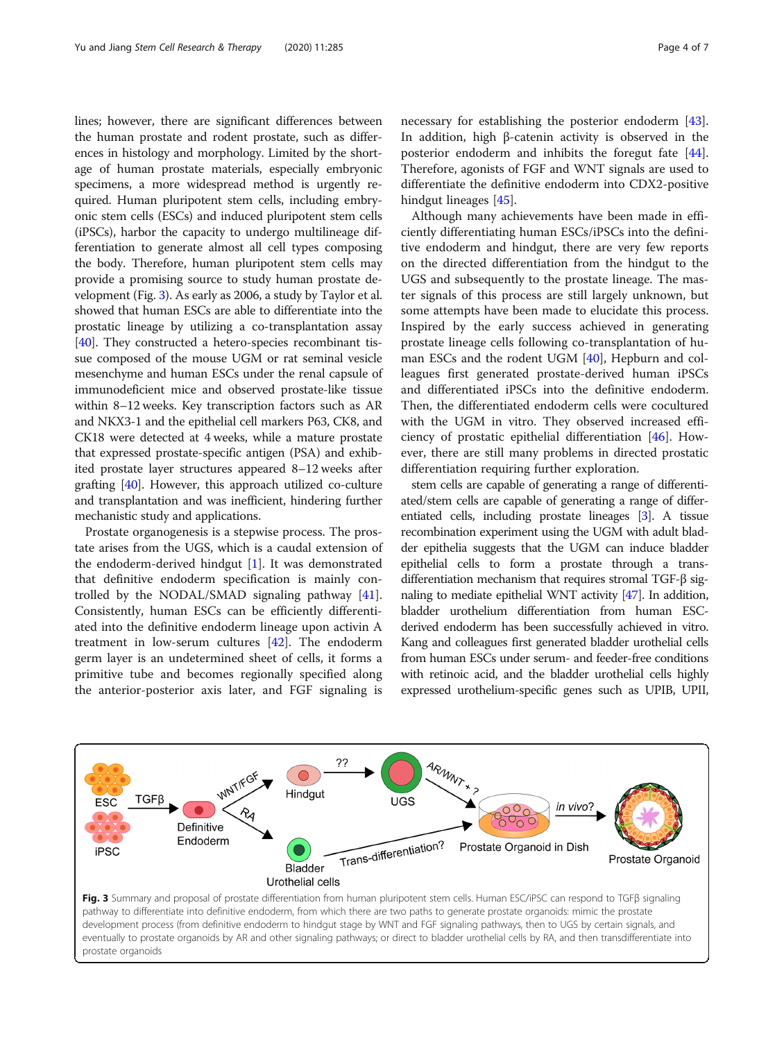<span id="page-3-0"></span>lines; however, there are significant differences between the human prostate and rodent prostate, such as differences in histology and morphology. Limited by the shortage of human prostate materials, especially embryonic specimens, a more widespread method is urgently required. Human pluripotent stem cells, including embryonic stem cells (ESCs) and induced pluripotent stem cells (iPSCs), harbor the capacity to undergo multilineage differentiation to generate almost all cell types composing the body. Therefore, human pluripotent stem cells may provide a promising source to study human prostate development (Fig. 3). As early as 2006, a study by Taylor et al. showed that human ESCs are able to differentiate into the prostatic lineage by utilizing a co-transplantation assay [[40](#page-6-0)]. They constructed a hetero-species recombinant tissue composed of the mouse UGM or rat seminal vesicle mesenchyme and human ESCs under the renal capsule of immunodeficient mice and observed prostate-like tissue within 8–12 weeks. Key transcription factors such as AR and NKX3-1 and the epithelial cell markers P63, CK8, and CK18 were detected at 4 weeks, while a mature prostate that expressed prostate-specific antigen (PSA) and exhibited prostate layer structures appeared 8–12 weeks after grafting [[40](#page-6-0)]. However, this approach utilized co-culture and transplantation and was inefficient, hindering further mechanistic study and applications.

Prostate organogenesis is a stepwise process. The prostate arises from the UGS, which is a caudal extension of the endoderm-derived hindgut  $[1]$  $[1]$ . It was demonstrated that definitive endoderm specification is mainly controlled by the NODAL/SMAD signaling pathway [\[41](#page-6-0)]. Consistently, human ESCs can be efficiently differentiated into the definitive endoderm lineage upon activin A treatment in low-serum cultures [\[42](#page-6-0)]. The endoderm germ layer is an undetermined sheet of cells, it forms a primitive tube and becomes regionally specified along the anterior-posterior axis later, and FGF signaling is

necessary for establishing the posterior endoderm [\[43](#page-6-0)]. In addition, high β-catenin activity is observed in the posterior endoderm and inhibits the foregut fate [\[44](#page-6-0)]. Therefore, agonists of FGF and WNT signals are used to differentiate the definitive endoderm into CDX2-positive hindgut lineages [[45](#page-6-0)].

Although many achievements have been made in efficiently differentiating human ESCs/iPSCs into the definitive endoderm and hindgut, there are very few reports on the directed differentiation from the hindgut to the UGS and subsequently to the prostate lineage. The master signals of this process are still largely unknown, but some attempts have been made to elucidate this process. Inspired by the early success achieved in generating prostate lineage cells following co-transplantation of human ESCs and the rodent UGM [[40\]](#page-6-0), Hepburn and colleagues first generated prostate-derived human iPSCs and differentiated iPSCs into the definitive endoderm. Then, the differentiated endoderm cells were cocultured with the UGM in vitro. They observed increased efficiency of prostatic epithelial differentiation [[46](#page-6-0)]. However, there are still many problems in directed prostatic differentiation requiring further exploration.

stem cells are capable of generating a range of differentiated/stem cells are capable of generating a range of differentiated cells, including prostate lineages [[3](#page-5-0)]. A tissue recombination experiment using the UGM with adult bladder epithelia suggests that the UGM can induce bladder epithelial cells to form a prostate through a transdifferentiation mechanism that requires stromal TGF-β signaling to mediate epithelial WNT activity [\[47\]](#page-6-0). In addition, bladder urothelium differentiation from human ESCderived endoderm has been successfully achieved in vitro. Kang and colleagues first generated bladder urothelial cells from human ESCs under serum- and feeder-free conditions with retinoic acid, and the bladder urothelial cells highly expressed urothelium-specific genes such as UPIB, UPII,

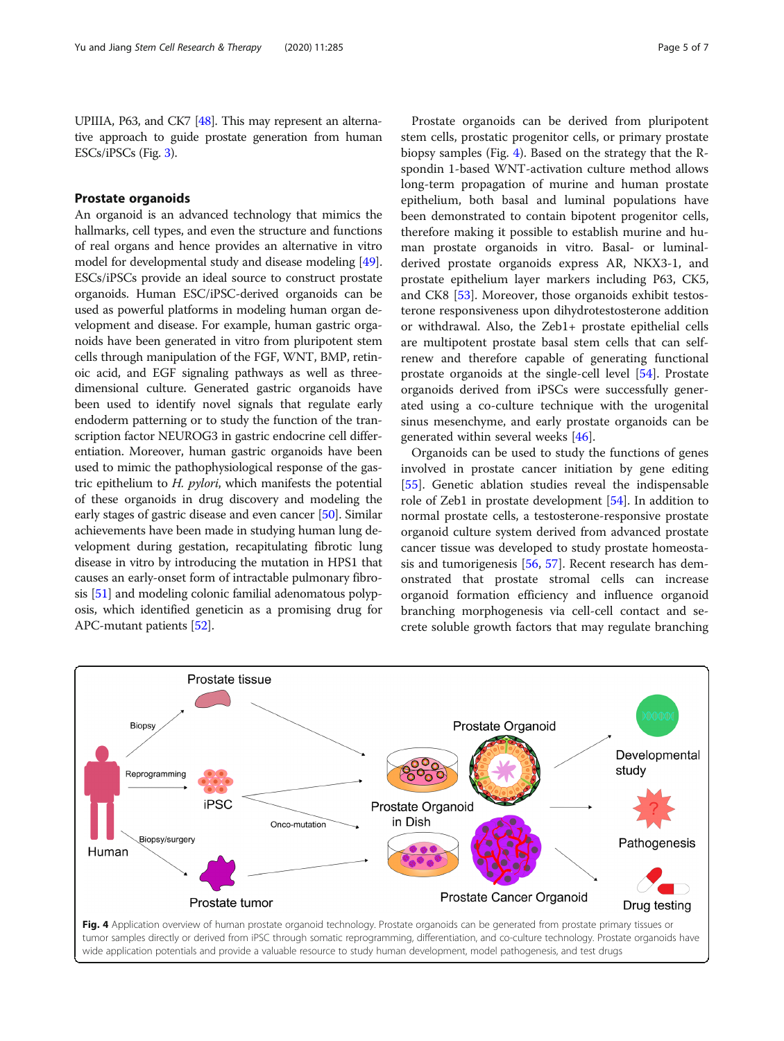<span id="page-4-0"></span>UPIIIA, P63, and CK7 [\[48](#page-6-0)]. This may represent an alternative approach to guide prostate generation from human ESCs/iPSCs (Fig. [3\)](#page-3-0).

## Prostate organoids

An organoid is an advanced technology that mimics the hallmarks, cell types, and even the structure and functions of real organs and hence provides an alternative in vitro model for developmental study and disease modeling [[49](#page-6-0)]. ESCs/iPSCs provide an ideal source to construct prostate organoids. Human ESC/iPSC-derived organoids can be used as powerful platforms in modeling human organ development and disease. For example, human gastric organoids have been generated in vitro from pluripotent stem cells through manipulation of the FGF, WNT, BMP, retinoic acid, and EGF signaling pathways as well as threedimensional culture. Generated gastric organoids have been used to identify novel signals that regulate early endoderm patterning or to study the function of the transcription factor NEUROG3 in gastric endocrine cell differentiation. Moreover, human gastric organoids have been used to mimic the pathophysiological response of the gastric epithelium to H. pylori, which manifests the potential of these organoids in drug discovery and modeling the early stages of gastric disease and even cancer [[50](#page-6-0)]. Similar achievements have been made in studying human lung development during gestation, recapitulating fibrotic lung disease in vitro by introducing the mutation in HPS1 that causes an early-onset form of intractable pulmonary fibrosis [\[51\]](#page-6-0) and modeling colonic familial adenomatous polyposis, which identified geneticin as a promising drug for APC-mutant patients [\[52\]](#page-6-0).

Prostate organoids can be derived from pluripotent stem cells, prostatic progenitor cells, or primary prostate biopsy samples (Fig. 4). Based on the strategy that the Rspondin 1-based WNT-activation culture method allows long-term propagation of murine and human prostate epithelium, both basal and luminal populations have been demonstrated to contain bipotent progenitor cells, therefore making it possible to establish murine and human prostate organoids in vitro. Basal- or luminalderived prostate organoids express AR, NKX3-1, and prostate epithelium layer markers including P63, CK5, and CK8 [[53\]](#page-6-0). Moreover, those organoids exhibit testosterone responsiveness upon dihydrotestosterone addition or withdrawal. Also, the Zeb1+ prostate epithelial cells are multipotent prostate basal stem cells that can selfrenew and therefore capable of generating functional prostate organoids at the single-cell level [[54\]](#page-6-0). Prostate organoids derived from iPSCs were successfully generated using a co-culture technique with the urogenital sinus mesenchyme, and early prostate organoids can be generated within several weeks [\[46](#page-6-0)].

Organoids can be used to study the functions of genes involved in prostate cancer initiation by gene editing [[55\]](#page-6-0). Genetic ablation studies reveal the indispensable role of Zeb1 in prostate development [[54\]](#page-6-0). In addition to normal prostate cells, a testosterone-responsive prostate organoid culture system derived from advanced prostate cancer tissue was developed to study prostate homeostasis and tumorigenesis [\[56](#page-6-0), [57](#page-6-0)]. Recent research has demonstrated that prostate stromal cells can increase organoid formation efficiency and influence organoid branching morphogenesis via cell-cell contact and secrete soluble growth factors that may regulate branching



wide application potentials and provide a valuable resource to study human development, model pathogenesis, and test drugs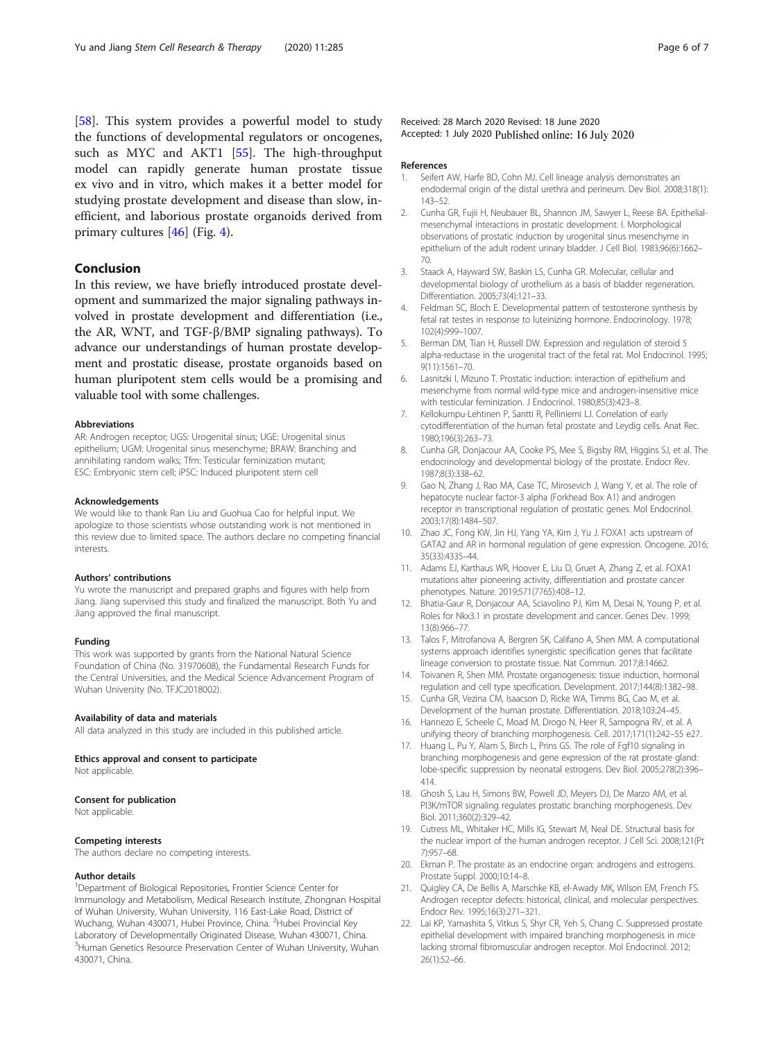<span id="page-5-0"></span>[[58\]](#page-6-0). This system provides a powerful model to study the functions of developmental regulators or oncogenes, such as MYC and AKT1 [\[55](#page-6-0)]. The high-throughput model can rapidly generate human prostate tissue ex vivo and in vitro, which makes it a better model for studying prostate development and disease than slow, inefficient, and laborious prostate organoids derived from primary cultures [\[46](#page-6-0)] (Fig. [4\)](#page-4-0).

## Conclusion

In this review, we have briefly introduced prostate development and summarized the major signaling pathways involved in prostate development and differentiation (i.e., the AR, WNT, and TGF-β/BMP signaling pathways). To advance our understandings of human prostate development and prostatic disease, prostate organoids based on human pluripotent stem cells would be a promising and valuable tool with some challenges.

#### Abbreviations

AR: Androgen receptor; UGS: Urogenital sinus; UGE: Urogenital sinus epithelium; UGM: Urogenital sinus mesenchyme; BRAW: Branching and annihilating random walks; Tfm: Testicular feminization mutant; ESC: Embryonic stem cell; iPSC: Induced pluripotent stem cell

#### Acknowledgements

We would like to thank Ran Liu and Guohua Cao for helpful input. We apologize to those scientists whose outstanding work is not mentioned in this review due to limited space. The authors declare no competing financial interests.

#### Authors' contributions

Yu wrote the manuscript and prepared graphs and figures with help from Jiang. Jiang supervised this study and finalized the manuscript. Both Yu and Jiang approved the final manuscript.

### Funding

This work was supported by grants from the National Natural Science Foundation of China (No. 31970608), the Fundamental Research Funds for the Central Universities, and the Medical Science Advancement Program of Wuhan University (No. TFJC2018002).

#### Availability of data and materials

All data analyzed in this study are included in this published article.

Ethics approval and consent to participate

Not applicable.

#### Consent for publication

Not applicable.

## Competing interests

The authors declare no competing interests.

### Author details

<sup>1</sup>Department of Biological Repositories, Frontier Science Center for Immunology and Metabolism, Medical Research Institute, Zhongnan Hospital of Wuhan University, Wuhan University, 116 East-Lake Road, District of Wuchang, Wuhan 430071, Hubei Province, China. <sup>2</sup>Hubei Provincial Key Laboratory of Developmentally Originated Disease, Wuhan 430071, China. <sup>3</sup>Human Genetics Resource Preservation Center of Wuhan University, Wuhan 430071, China.

## Received: 28 March 2020 Revised: 18 June 2020 Accepted: 1 July 2020 Published online: 16 July 2020

#### References

- 1. Seifert AW, Harfe BD, Cohn MJ. Cell lineage analysis demonstrates an endodermal origin of the distal urethra and perineum. Dev Biol. 2008;318(1): 143–52.
- 2. Cunha GR, Fujii H, Neubauer BL, Shannon JM, Sawyer L, Reese BA. Epithelialmesenchymal interactions in prostatic development. I. Morphological observations of prostatic induction by urogenital sinus mesenchyme in epithelium of the adult rodent urinary bladder. J Cell Biol. 1983;96(6):1662– 70.
- 3. Staack A, Hayward SW, Baskin LS, Cunha GR. Molecular, cellular and developmental biology of urothelium as a basis of bladder regeneration. Differentiation. 2005;73(4):121–33.
- 4. Feldman SC, Bloch E. Developmental pattern of testosterone synthesis by fetal rat testes in response to luteinizing hormone. Endocrinology. 1978; 102(4):999–1007.
- 5. Berman DM, Tian H, Russell DW. Expression and regulation of steroid 5 alpha-reductase in the urogenital tract of the fetal rat. Mol Endocrinol. 1995; 9(11):1561–70.
- 6. Lasnitzki I, Mizuno T. Prostatic induction: interaction of epithelium and mesenchyme from normal wild-type mice and androgen-insensitive mice with testicular feminization. J Endocrinol. 1980;85(3):423–8.
- 7. Kellokumpu-Lehtinen P, Santti R, Pelliniemi LJ. Correlation of early cytodifferentiation of the human fetal prostate and Leydig cells. Anat Rec. 1980;196(3):263–73.
- 8. Cunha GR, Donjacour AA, Cooke PS, Mee S, Bigsby RM, Higgins SJ, et al. The endocrinology and developmental biology of the prostate. Endocr Rev. 1987;8(3):338–62.
- 9. Gao N, Zhang J, Rao MA, Case TC, Mirosevich J, Wang Y, et al. The role of hepatocyte nuclear factor-3 alpha (Forkhead Box A1) and androgen receptor in transcriptional regulation of prostatic genes. Mol Endocrinol. 2003;17(8):1484–507.
- 10. Zhao JC, Fong KW, Jin HJ, Yang YA, Kim J, Yu J. FOXA1 acts upstream of GATA2 and AR in hormonal regulation of gene expression. Oncogene. 2016; 35(33):4335–44.
- 11. Adams EJ, Karthaus WR, Hoover E, Liu D, Gruet A, Zhang Z, et al. FOXA1 mutations alter pioneering activity, differentiation and prostate cancer phenotypes. Nature. 2019;571(7765):408–12.
- 12. Bhatia-Gaur R, Donjacour AA, Sciavolino PJ, Kim M, Desai N, Young P, et al. Roles for Nkx3.1 in prostate development and cancer. Genes Dev. 1999; 13(8):966–77.
- 13. Talos F, Mitrofanova A, Bergren SK, Califano A, Shen MM. A computational systems approach identifies synergistic specification genes that facilitate lineage conversion to prostate tissue. Nat Commun. 2017;8:14662.
- 14. Toivanen R, Shen MM. Prostate organogenesis: tissue induction, hormonal regulation and cell type specification. Development. 2017;144(8):1382–98.
- 15. Cunha GR, Vezina CM, Isaacson D, Ricke WA, Timms BG, Cao M, et al. Development of the human prostate. Differentiation. 2018;103:24–45.
- 16. Hannezo E, Scheele C, Moad M, Drogo N, Heer R, Sampogna RV, et al. A unifying theory of branching morphogenesis. Cell. 2017;171(1):242–55 e27.
- 17. Huang L, Pu Y, Alam S, Birch L, Prins GS. The role of Fgf10 signaling in branching morphogenesis and gene expression of the rat prostate gland: lobe-specific suppression by neonatal estrogens. Dev Biol. 2005;278(2):396– 414.
- 18. Ghosh S, Lau H, Simons BW, Powell JD, Meyers DJ, De Marzo AM, et al. PI3K/mTOR signaling regulates prostatic branching morphogenesis. Dev Biol. 2011;360(2):329–42.
- 19. Cutress ML, Whitaker HC, Mills IG, Stewart M, Neal DE. Structural basis for the nuclear import of the human androgen receptor. J Cell Sci. 2008;121(Pt 7):957–68.
- 20. Ekman P. The prostate as an endocrine organ: androgens and estrogens. Prostate Suppl. 2000;10:14–8.
- 21. Quigley CA, De Bellis A, Marschke KB, el-Awady MK, Wilson EM, French FS. Androgen receptor defects: historical, clinical, and molecular perspectives. Endocr Rev. 1995;16(3):271–321.
- 22. Lai KP, Yamashita S, Vitkus S, Shyr CR, Yeh S, Chang C. Suppressed prostate epithelial development with impaired branching morphogenesis in mice lacking stromal fibromuscular androgen receptor. Mol Endocrinol. 2012; 26(1):52–66.